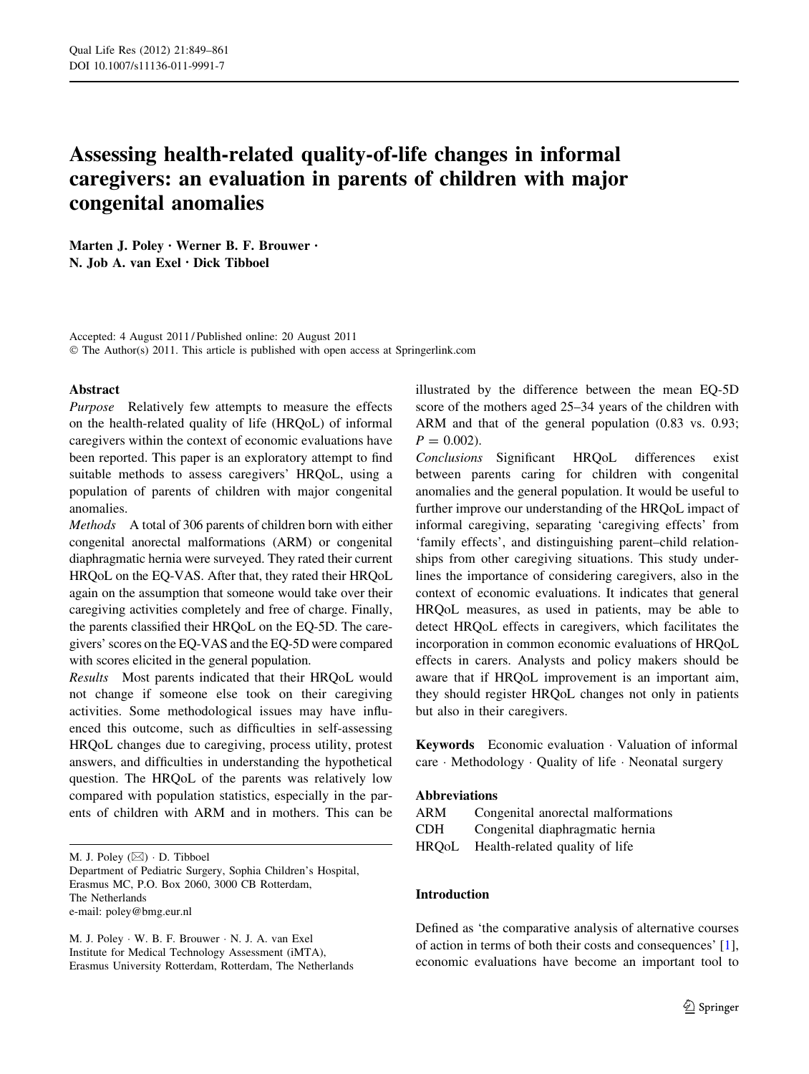# Assessing health-related quality-of-life changes in informal caregivers: an evaluation in parents of children with major congenital anomalies

Marten J. Poley • Werner B. F. Brouwer • N. Job A. van Exel • Dick Tibboel

Accepted: 4 August 2011 / Published online: 20 August 2011 © The Author(s) 2011. This article is published with open access at Springerlink.com

## Abstract

Purpose Relatively few attempts to measure the effects on the health-related quality of life (HRQoL) of informal caregivers within the context of economic evaluations have been reported. This paper is an exploratory attempt to find suitable methods to assess caregivers' HRQoL, using a population of parents of children with major congenital anomalies.

Methods A total of 306 parents of children born with either congenital anorectal malformations (ARM) or congenital diaphragmatic hernia were surveyed. They rated their current HRQoL on the EQ-VAS. After that, they rated their HRQoL again on the assumption that someone would take over their caregiving activities completely and free of charge. Finally, the parents classified their HRQoL on the EQ-5D. The caregivers' scores on the EQ-VAS and the EQ-5D were compared with scores elicited in the general population.

Results Most parents indicated that their HRQoL would not change if someone else took on their caregiving activities. Some methodological issues may have influenced this outcome, such as difficulties in self-assessing HRQoL changes due to caregiving, process utility, protest answers, and difficulties in understanding the hypothetical question. The HRQoL of the parents was relatively low compared with population statistics, especially in the parents of children with ARM and in mothers. This can be

M. J. Poley (⊠) ⋅ D. Tibboel Department of Pediatric Surgery, Sophia Children's Hospital, Erasmus MC, P.O. Box 2060, 3000 CB Rotterdam, The Netherlands e-mail: poley@bmg.eur.nl

M. J. Poley - W. B. F. Brouwer - N. J. A. van Exel Institute for Medical Technology Assessment (iMTA), Erasmus University Rotterdam, Rotterdam, The Netherlands illustrated by the difference between the mean EQ-5D score of the mothers aged 25–34 years of the children with ARM and that of the general population (0.83 vs. 0.93;  $P = 0.002$ .

Conclusions Significant HRQoL differences exist between parents caring for children with congenital anomalies and the general population. It would be useful to further improve our understanding of the HRQoL impact of informal caregiving, separating 'caregiving effects' from 'family effects', and distinguishing parent–child relationships from other caregiving situations. This study underlines the importance of considering caregivers, also in the context of economic evaluations. It indicates that general HRQoL measures, as used in patients, may be able to detect HRQoL effects in caregivers, which facilitates the incorporation in common economic evaluations of HRQoL effects in carers. Analysts and policy makers should be aware that if HRQoL improvement is an important aim, they should register HRQoL changes not only in patients but also in their caregivers.

Keywords Economic evaluation - Valuation of informal care - Methodology - Quality of life - Neonatal surgery

## Abbreviations

| <b>ARM</b> | Congenital anorectal malformations   |
|------------|--------------------------------------|
| <b>CDH</b> | Congenital diaphragmatic hernia      |
|            | HRQoL Health-related quality of life |

## Introduction

Defined as 'the comparative analysis of alternative courses of action in terms of both their costs and consequences' [\[1](#page-10-0)], economic evaluations have become an important tool to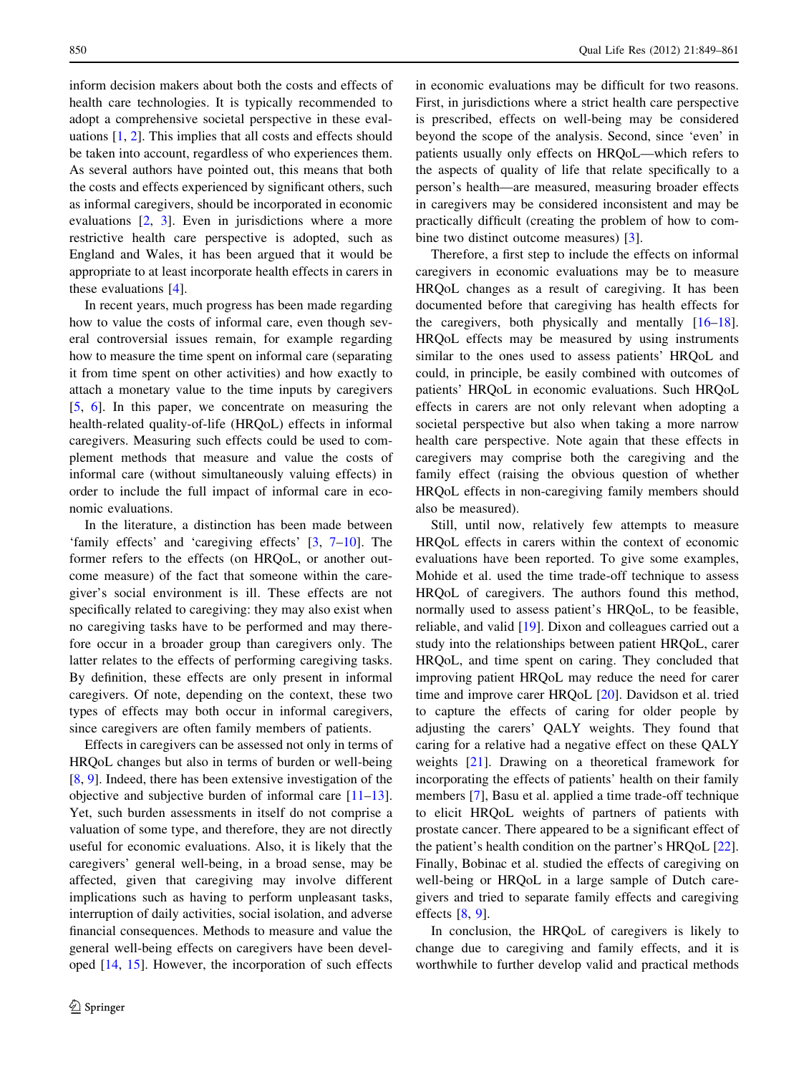inform decision makers about both the costs and effects of health care technologies. It is typically recommended to adopt a comprehensive societal perspective in these evaluations [[1,](#page-10-0) [2](#page-10-0)]. This implies that all costs and effects should be taken into account, regardless of who experiences them. As several authors have pointed out, this means that both the costs and effects experienced by significant others, such as informal caregivers, should be incorporated in economic evaluations [\[2](#page-10-0), [3](#page-10-0)]. Even in jurisdictions where a more restrictive health care perspective is adopted, such as England and Wales, it has been argued that it would be appropriate to at least incorporate health effects in carers in these evaluations [\[4](#page-10-0)].

In recent years, much progress has been made regarding how to value the costs of informal care, even though several controversial issues remain, for example regarding how to measure the time spent on informal care (separating it from time spent on other activities) and how exactly to attach a monetary value to the time inputs by caregivers [\[5](#page-10-0), [6](#page-10-0)]. In this paper, we concentrate on measuring the health-related quality-of-life (HRQoL) effects in informal caregivers. Measuring such effects could be used to complement methods that measure and value the costs of informal care (without simultaneously valuing effects) in order to include the full impact of informal care in economic evaluations.

In the literature, a distinction has been made between 'family effects' and 'caregiving effects' [[3,](#page-10-0) [7–10\]](#page-10-0). The former refers to the effects (on HRQoL, or another outcome measure) of the fact that someone within the caregiver's social environment is ill. These effects are not specifically related to caregiving: they may also exist when no caregiving tasks have to be performed and may therefore occur in a broader group than caregivers only. The latter relates to the effects of performing caregiving tasks. By definition, these effects are only present in informal caregivers. Of note, depending on the context, these two types of effects may both occur in informal caregivers, since caregivers are often family members of patients.

Effects in caregivers can be assessed not only in terms of HRQoL changes but also in terms of burden or well-being [\[8](#page-10-0), [9\]](#page-10-0). Indeed, there has been extensive investigation of the objective and subjective burden of informal care [\[11–13](#page-10-0)]. Yet, such burden assessments in itself do not comprise a valuation of some type, and therefore, they are not directly useful for economic evaluations. Also, it is likely that the caregivers' general well-being, in a broad sense, may be affected, given that caregiving may involve different implications such as having to perform unpleasant tasks, interruption of daily activities, social isolation, and adverse financial consequences. Methods to measure and value the general well-being effects on caregivers have been developed [\[14](#page-10-0), [15](#page-10-0)]. However, the incorporation of such effects in economic evaluations may be difficult for two reasons. First, in jurisdictions where a strict health care perspective is prescribed, effects on well-being may be considered beyond the scope of the analysis. Second, since 'even' in patients usually only effects on HRQoL—which refers to the aspects of quality of life that relate specifically to a person's health—are measured, measuring broader effects in caregivers may be considered inconsistent and may be practically difficult (creating the problem of how to combine two distinct outcome measures) [[3\]](#page-10-0).

Therefore, a first step to include the effects on informal caregivers in economic evaluations may be to measure HRQoL changes as a result of caregiving. It has been documented before that caregiving has health effects for the caregivers, both physically and mentally [\[16–18](#page-10-0)]. HRQoL effects may be measured by using instruments similar to the ones used to assess patients' HRQoL and could, in principle, be easily combined with outcomes of patients' HRQoL in economic evaluations. Such HRQoL effects in carers are not only relevant when adopting a societal perspective but also when taking a more narrow health care perspective. Note again that these effects in caregivers may comprise both the caregiving and the family effect (raising the obvious question of whether HRQoL effects in non-caregiving family members should also be measured).

Still, until now, relatively few attempts to measure HRQoL effects in carers within the context of economic evaluations have been reported. To give some examples, Mohide et al. used the time trade-off technique to assess HRQoL of caregivers. The authors found this method, normally used to assess patient's HRQoL, to be feasible, reliable, and valid [[19\]](#page-10-0). Dixon and colleagues carried out a study into the relationships between patient HRQoL, carer HRQoL, and time spent on caring. They concluded that improving patient HRQoL may reduce the need for carer time and improve carer HRQoL [[20\]](#page-10-0). Davidson et al. tried to capture the effects of caring for older people by adjusting the carers' QALY weights. They found that caring for a relative had a negative effect on these QALY weights [\[21](#page-10-0)]. Drawing on a theoretical framework for incorporating the effects of patients' health on their family members [[7\]](#page-10-0), Basu et al. applied a time trade-off technique to elicit HRQoL weights of partners of patients with prostate cancer. There appeared to be a significant effect of the patient's health condition on the partner's HRQoL [\[22](#page-10-0)]. Finally, Bobinac et al. studied the effects of caregiving on well-being or HRQoL in a large sample of Dutch caregivers and tried to separate family effects and caregiving effects [[8,](#page-10-0) [9](#page-10-0)].

In conclusion, the HRQoL of caregivers is likely to change due to caregiving and family effects, and it is worthwhile to further develop valid and practical methods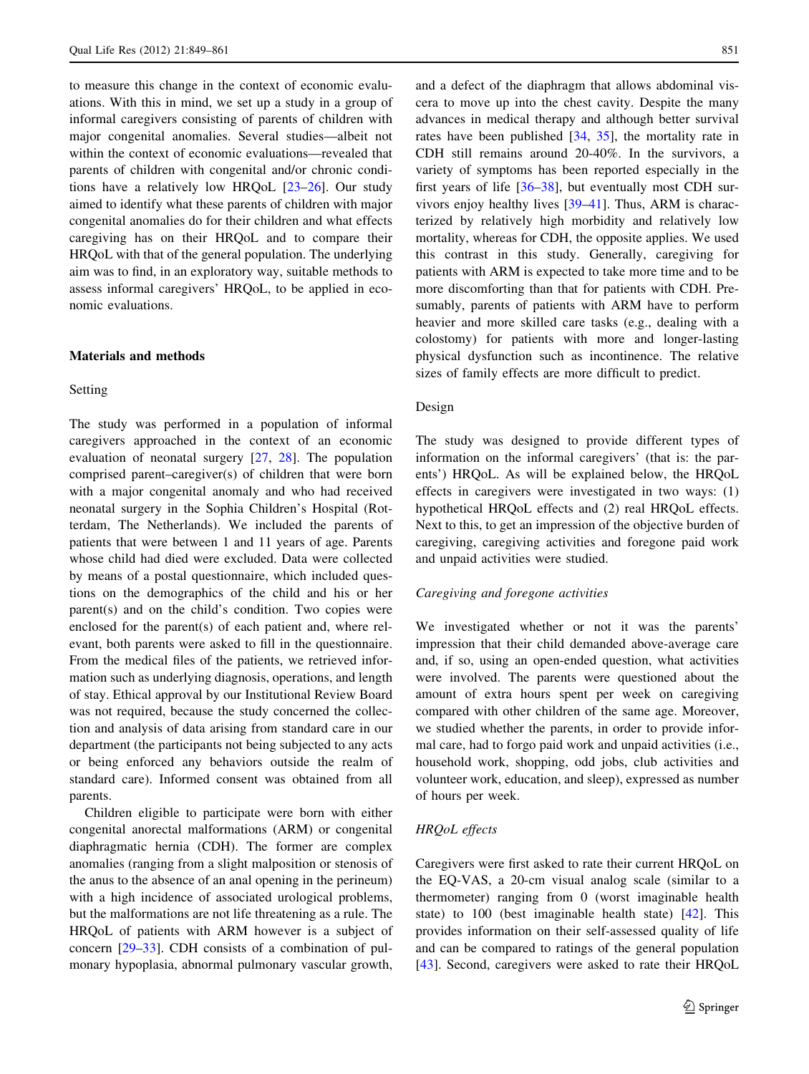to measure this change in the context of economic evaluations. With this in mind, we set up a study in a group of informal caregivers consisting of parents of children with major congenital anomalies. Several studies—albeit not within the context of economic evaluations—revealed that parents of children with congenital and/or chronic conditions have a relatively low HRQoL [\[23](#page-10-0)[–26](#page-11-0)]. Our study aimed to identify what these parents of children with major congenital anomalies do for their children and what effects caregiving has on their HRQoL and to compare their HRQoL with that of the general population. The underlying aim was to find, in an exploratory way, suitable methods to assess informal caregivers' HRQoL, to be applied in economic evaluations.

## Materials and methods

## Setting

The study was performed in a population of informal caregivers approached in the context of an economic evaluation of neonatal surgery [[27,](#page-11-0) [28](#page-11-0)]. The population comprised parent–caregiver(s) of children that were born with a major congenital anomaly and who had received neonatal surgery in the Sophia Children's Hospital (Rotterdam, The Netherlands). We included the parents of patients that were between 1 and 11 years of age. Parents whose child had died were excluded. Data were collected by means of a postal questionnaire, which included questions on the demographics of the child and his or her parent(s) and on the child's condition. Two copies were enclosed for the parent(s) of each patient and, where relevant, both parents were asked to fill in the questionnaire. From the medical files of the patients, we retrieved information such as underlying diagnosis, operations, and length of stay. Ethical approval by our Institutional Review Board was not required, because the study concerned the collection and analysis of data arising from standard care in our department (the participants not being subjected to any acts or being enforced any behaviors outside the realm of standard care). Informed consent was obtained from all parents.

Children eligible to participate were born with either congenital anorectal malformations (ARM) or congenital diaphragmatic hernia (CDH). The former are complex anomalies (ranging from a slight malposition or stenosis of the anus to the absence of an anal opening in the perineum) with a high incidence of associated urological problems, but the malformations are not life threatening as a rule. The HRQoL of patients with ARM however is a subject of concern [\[29–33](#page-11-0)]. CDH consists of a combination of pulmonary hypoplasia, abnormal pulmonary vascular growth, and a defect of the diaphragm that allows abdominal viscera to move up into the chest cavity. Despite the many advances in medical therapy and although better survival rates have been published  $[34, 35]$  $[34, 35]$  $[34, 35]$  $[34, 35]$ , the mortality rate in CDH still remains around 20-40%. In the survivors, a variety of symptoms has been reported especially in the first years of life [\[36–38](#page-11-0)], but eventually most CDH survivors enjoy healthy lives [[39–41\]](#page-11-0). Thus, ARM is characterized by relatively high morbidity and relatively low mortality, whereas for CDH, the opposite applies. We used this contrast in this study. Generally, caregiving for patients with ARM is expected to take more time and to be more discomforting than that for patients with CDH. Presumably, parents of patients with ARM have to perform heavier and more skilled care tasks (e.g., dealing with a colostomy) for patients with more and longer-lasting physical dysfunction such as incontinence. The relative sizes of family effects are more difficult to predict.

## Design

The study was designed to provide different types of information on the informal caregivers' (that is: the parents') HRQoL. As will be explained below, the HRQoL effects in caregivers were investigated in two ways: (1) hypothetical HRQoL effects and (2) real HRQoL effects. Next to this, to get an impression of the objective burden of caregiving, caregiving activities and foregone paid work and unpaid activities were studied.

## Caregiving and foregone activities

We investigated whether or not it was the parents' impression that their child demanded above-average care and, if so, using an open-ended question, what activities were involved. The parents were questioned about the amount of extra hours spent per week on caregiving compared with other children of the same age. Moreover, we studied whether the parents, in order to provide informal care, had to forgo paid work and unpaid activities (i.e., household work, shopping, odd jobs, club activities and volunteer work, education, and sleep), expressed as number of hours per week.

## HRQoL effects

Caregivers were first asked to rate their current HRQoL on the EQ-VAS, a 20-cm visual analog scale (similar to a thermometer) ranging from 0 (worst imaginable health state) to 100 (best imaginable health state) [[42\]](#page-11-0). This provides information on their self-assessed quality of life and can be compared to ratings of the general population [\[43](#page-11-0)]. Second, caregivers were asked to rate their HRQoL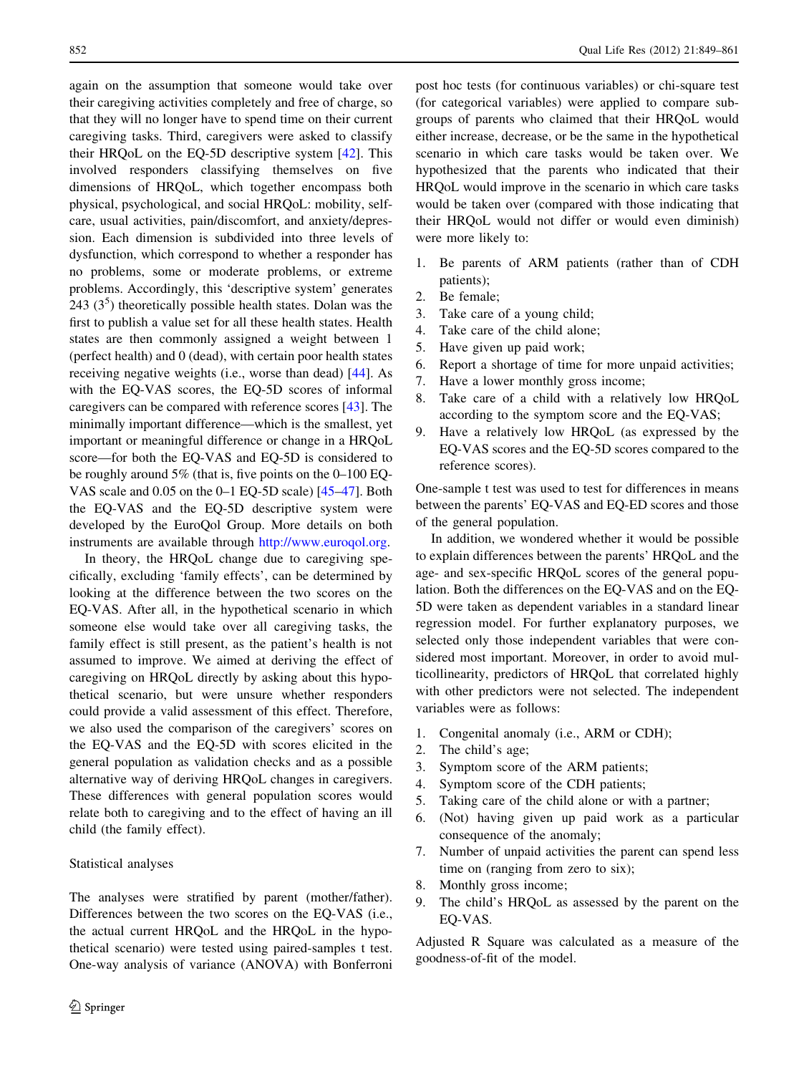again on the assumption that someone would take over their caregiving activities completely and free of charge, so that they will no longer have to spend time on their current caregiving tasks. Third, caregivers were asked to classify their HRQoL on the EQ-5D descriptive system [\[42](#page-11-0)]. This involved responders classifying themselves on five dimensions of HRQoL, which together encompass both physical, psychological, and social HRQoL: mobility, selfcare, usual activities, pain/discomfort, and anxiety/depression. Each dimension is subdivided into three levels of dysfunction, which correspond to whether a responder has no problems, some or moderate problems, or extreme problems. Accordingly, this 'descriptive system' generates 243  $(3^5)$  theoretically possible health states. Dolan was the first to publish a value set for all these health states. Health states are then commonly assigned a weight between 1 (perfect health) and 0 (dead), with certain poor health states receiving negative weights (i.e., worse than dead) [\[44](#page-11-0)]. As with the EQ-VAS scores, the EQ-5D scores of informal caregivers can be compared with reference scores [\[43](#page-11-0)]. The minimally important difference—which is the smallest, yet important or meaningful difference or change in a HRQoL score—for both the EQ-VAS and EQ-5D is considered to be roughly around 5% (that is, five points on the 0–100 EQ-VAS scale and 0.05 on the 0–1 EQ-5D scale) [[45–47\]](#page-11-0). Both the EQ-VAS and the EQ-5D descriptive system were developed by the EuroQol Group. More details on both instruments are available through <http://www.euroqol.org>.

In theory, the HRQoL change due to caregiving specifically, excluding 'family effects', can be determined by looking at the difference between the two scores on the EQ-VAS. After all, in the hypothetical scenario in which someone else would take over all caregiving tasks, the family effect is still present, as the patient's health is not assumed to improve. We aimed at deriving the effect of caregiving on HRQoL directly by asking about this hypothetical scenario, but were unsure whether responders could provide a valid assessment of this effect. Therefore, we also used the comparison of the caregivers' scores on the EQ-VAS and the EQ-5D with scores elicited in the general population as validation checks and as a possible alternative way of deriving HRQoL changes in caregivers. These differences with general population scores would relate both to caregiving and to the effect of having an ill child (the family effect).

## Statistical analyses

The analyses were stratified by parent (mother/father). Differences between the two scores on the EQ-VAS (i.e., the actual current HRQoL and the HRQoL in the hypothetical scenario) were tested using paired-samples t test. One-way analysis of variance (ANOVA) with Bonferroni

post hoc tests (for continuous variables) or chi-square test (for categorical variables) were applied to compare subgroups of parents who claimed that their HRQoL would either increase, decrease, or be the same in the hypothetical scenario in which care tasks would be taken over. We hypothesized that the parents who indicated that their HRQoL would improve in the scenario in which care tasks would be taken over (compared with those indicating that their HRQoL would not differ or would even diminish) were more likely to:

- 1. Be parents of ARM patients (rather than of CDH patients);
- 2. Be female;
- 3. Take care of a young child;
- 4. Take care of the child alone;
- 5. Have given up paid work;
- 6. Report a shortage of time for more unpaid activities;
- 7. Have a lower monthly gross income;
- 8. Take care of a child with a relatively low HRQoL according to the symptom score and the EQ-VAS;
- 9. Have a relatively low HRQoL (as expressed by the EQ-VAS scores and the EQ-5D scores compared to the reference scores).

One-sample t test was used to test for differences in means between the parents' EQ-VAS and EQ-ED scores and those of the general population.

In addition, we wondered whether it would be possible to explain differences between the parents' HRQoL and the age- and sex-specific HRQoL scores of the general population. Both the differences on the EQ-VAS and on the EQ-5D were taken as dependent variables in a standard linear regression model. For further explanatory purposes, we selected only those independent variables that were considered most important. Moreover, in order to avoid multicollinearity, predictors of HRQoL that correlated highly with other predictors were not selected. The independent variables were as follows:

- 1. Congenital anomaly (i.e., ARM or CDH);
- 2. The child's age;
- 3. Symptom score of the ARM patients;
- 4. Symptom score of the CDH patients;
- 5. Taking care of the child alone or with a partner;
- 6. (Not) having given up paid work as a particular consequence of the anomaly;
- 7. Number of unpaid activities the parent can spend less time on (ranging from zero to six);
- 8. Monthly gross income;
- 9. The child's HRQoL as assessed by the parent on the EQ-VAS.

Adjusted R Square was calculated as a measure of the goodness-of-fit of the model.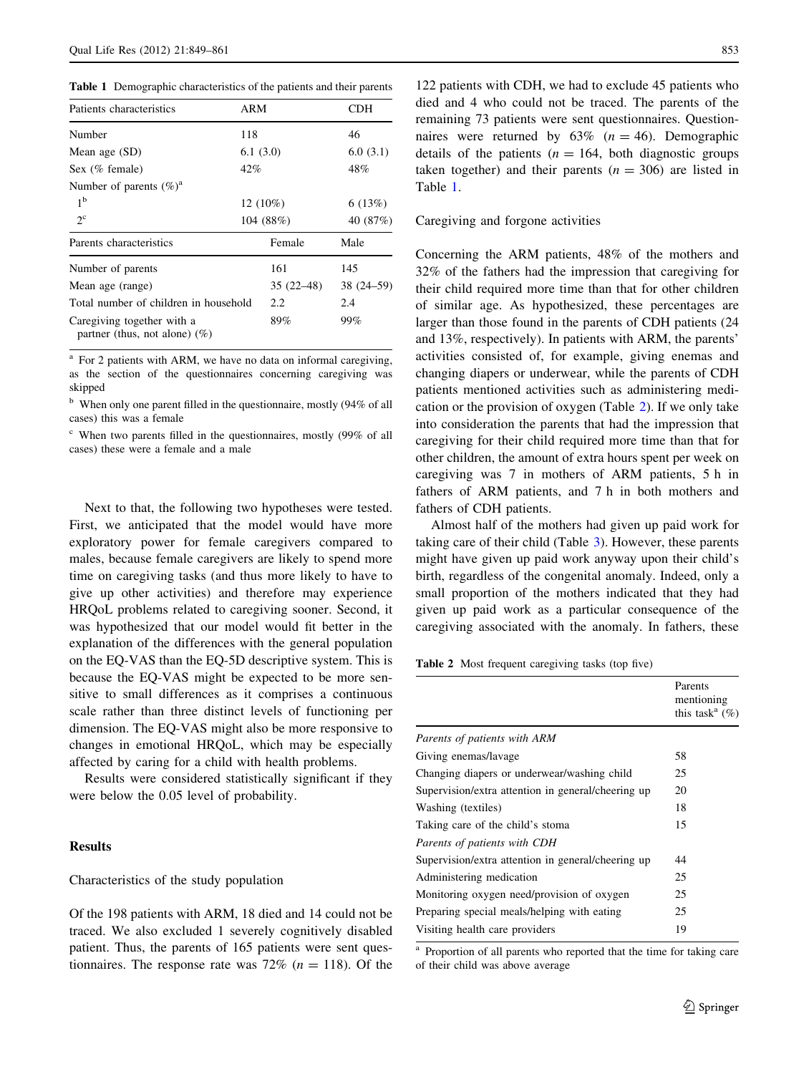Table 1 Demographic characteristics of the patients and their parents

| Patients characteristics                                       | ARM         | <b>CDH</b> |
|----------------------------------------------------------------|-------------|------------|
| Number                                                         | 118         | 46         |
| Mean age (SD)                                                  | 6.1(3.0)    | 6.0(3.1)   |
| Sex $(\%$ female)                                              | 42%         | 48%        |
| Number of parents $(\%)^a$                                     |             |            |
| 1 <sup>b</sup>                                                 | $12(10\%)$  | 6(13%)     |
| $2^{\circ}$                                                    | 104(88%)    | 40 (87%)   |
| Parents characteristics                                        | Female      | Male       |
| Number of parents                                              | 161         | 145        |
| Mean age (range)                                               | $35(22-48)$ | 38 (24–59) |
| Total number of children in household                          | 2.2         | 2.4        |
| Caregiving together with a<br>partner (thus, not alone) $(\%)$ | 89%         | 99%        |

<sup>a</sup> For 2 patients with ARM, we have no data on informal caregiving, as the section of the questionnaires concerning caregiving was skipped

 $<sup>b</sup>$  When only one parent filled in the questionnaire, mostly (94% of all</sup> cases) this was a female

<sup>c</sup> When two parents filled in the questionnaires, mostly (99% of all cases) these were a female and a male

Next to that, the following two hypotheses were tested. First, we anticipated that the model would have more exploratory power for female caregivers compared to males, because female caregivers are likely to spend more time on caregiving tasks (and thus more likely to have to give up other activities) and therefore may experience HRQoL problems related to caregiving sooner. Second, it was hypothesized that our model would fit better in the explanation of the differences with the general population on the EQ-VAS than the EQ-5D descriptive system. This is because the EQ-VAS might be expected to be more sensitive to small differences as it comprises a continuous scale rather than three distinct levels of functioning per dimension. The EQ-VAS might also be more responsive to changes in emotional HRQoL, which may be especially affected by caring for a child with health problems.

Results were considered statistically significant if they were below the 0.05 level of probability.

## Results

# Characteristics of the study population

Of the 198 patients with ARM, 18 died and 14 could not be traced. We also excluded 1 severely cognitively disabled patient. Thus, the parents of 165 patients were sent questionnaires. The response rate was  $72\%$  ( $n = 118$ ). Of the

122 patients with CDH, we had to exclude 45 patients who died and 4 who could not be traced. The parents of the remaining 73 patients were sent questionnaires. Questionnaires were returned by  $63\%$  ( $n = 46$ ). Demographic details of the patients ( $n = 164$ , both diagnostic groups taken together) and their parents  $(n = 306)$  are listed in Table 1.

### Caregiving and forgone activities

Concerning the ARM patients, 48% of the mothers and 32% of the fathers had the impression that caregiving for their child required more time than that for other children of similar age. As hypothesized, these percentages are larger than those found in the parents of CDH patients (24 and 13%, respectively). In patients with ARM, the parents' activities consisted of, for example, giving enemas and changing diapers or underwear, while the parents of CDH patients mentioned activities such as administering medication or the provision of oxygen (Table 2). If we only take into consideration the parents that had the impression that caregiving for their child required more time than that for other children, the amount of extra hours spent per week on caregiving was 7 in mothers of ARM patients, 5 h in fathers of ARM patients, and 7 h in both mothers and fathers of CDH patients.

Almost half of the mothers had given up paid work for taking care of their child (Table [3](#page-5-0)). However, these parents might have given up paid work anyway upon their child's birth, regardless of the congenital anomaly. Indeed, only a small proportion of the mothers indicated that they had given up paid work as a particular consequence of the caregiving associated with the anomaly. In fathers, these

Table 2 Most frequent caregiving tasks (top five)

|                                                    | Parents<br>mentioning<br>this task <sup>a</sup> $(\%)$ |
|----------------------------------------------------|--------------------------------------------------------|
| Parents of patients with ARM                       |                                                        |
| Giving enemas/lavage                               | 58                                                     |
| Changing diapers or underwear/washing child        | 25                                                     |
| Supervision/extra attention in general/cheering up | 20                                                     |
| Washing (textiles)                                 | 18                                                     |
| Taking care of the child's stoma                   | 15                                                     |
| Parents of patients with CDH                       |                                                        |
| Supervision/extra attention in general/cheering up | 44                                                     |
| Administering medication                           | 25                                                     |
| Monitoring oxygen need/provision of oxygen         | 25                                                     |
| Preparing special meals/helping with eating        | 25                                                     |
| Visiting health care providers                     | 19                                                     |

Proportion of all parents who reported that the time for taking care of their child was above average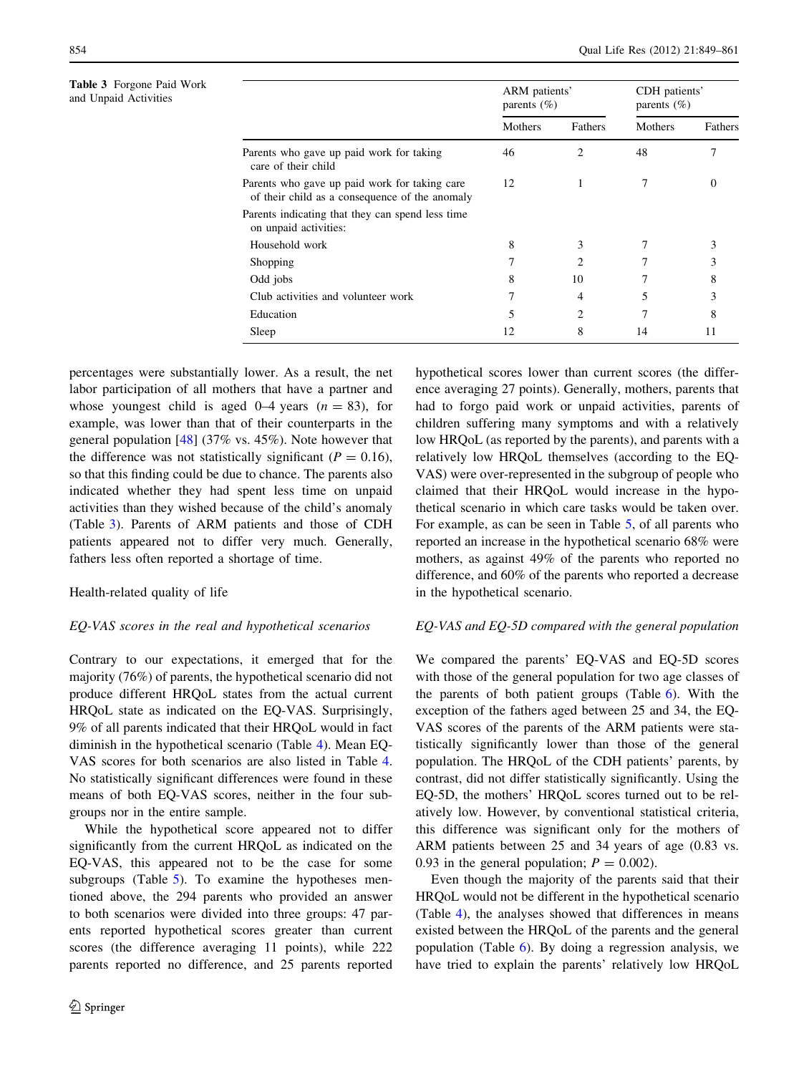<span id="page-5-0"></span>Table 3 Forgone Paid Work and Unpaid Activities

|                                                                                                 | ARM patients'<br>parents $(\%)$ |                | CDH patients'<br>parents $(\% )$ |         |
|-------------------------------------------------------------------------------------------------|---------------------------------|----------------|----------------------------------|---------|
|                                                                                                 | Mothers                         | Fathers        | Mothers                          | Fathers |
| Parents who gave up paid work for taking<br>care of their child                                 | 46                              | $\mathfrak{D}$ | 48                               |         |
| Parents who gave up paid work for taking care<br>of their child as a consequence of the anomaly | 12                              |                | 7                                | 0       |
| Parents indicating that they can spend less time<br>on unpaid activities:                       |                                 |                |                                  |         |
| Household work                                                                                  | 8                               | 3              |                                  | 3       |
| Shopping                                                                                        |                                 | 2              |                                  | 3       |
| Odd jobs                                                                                        | 8                               | 10             |                                  | 8       |
| Club activities and volunteer work                                                              |                                 | 4              | 5                                | 3       |
| Education                                                                                       | 5                               | 2              | 7                                | 8       |
| Sleep                                                                                           | 12                              | 8              | 14                               | 11      |

percentages were substantially lower. As a result, the net labor participation of all mothers that have a partner and whose youngest child is aged 0–4 years  $(n = 83)$ , for example, was lower than that of their counterparts in the general population  $[48]$  $[48]$  (37% vs. 45%). Note however that the difference was not statistically significant ( $P = 0.16$ ), so that this finding could be due to chance. The parents also indicated whether they had spent less time on unpaid activities than they wished because of the child's anomaly (Table 3). Parents of ARM patients and those of CDH patients appeared not to differ very much. Generally, fathers less often reported a shortage of time.

## Health-related quality of life

#### EQ-VAS scores in the real and hypothetical scenarios

Contrary to our expectations, it emerged that for the majority (76%) of parents, the hypothetical scenario did not produce different HRQoL states from the actual current HRQoL state as indicated on the EQ-VAS. Surprisingly, 9% of all parents indicated that their HRQoL would in fact diminish in the hypothetical scenario (Table [4](#page-6-0)). Mean EQ-VAS scores for both scenarios are also listed in Table [4.](#page-6-0) No statistically significant differences were found in these means of both EQ-VAS scores, neither in the four subgroups nor in the entire sample.

While the hypothetical score appeared not to differ significantly from the current HRQoL as indicated on the EQ-VAS, this appeared not to be the case for some subgroups (Table [5](#page-6-0)). To examine the hypotheses mentioned above, the 294 parents who provided an answer to both scenarios were divided into three groups: 47 parents reported hypothetical scores greater than current scores (the difference averaging 11 points), while 222 parents reported no difference, and 25 parents reported hypothetical scores lower than current scores (the difference averaging 27 points). Generally, mothers, parents that had to forgo paid work or unpaid activities, parents of children suffering many symptoms and with a relatively low HRQoL (as reported by the parents), and parents with a relatively low HRQoL themselves (according to the EQ-VAS) were over-represented in the subgroup of people who claimed that their HRQoL would increase in the hypothetical scenario in which care tasks would be taken over. For example, as can be seen in Table [5,](#page-6-0) of all parents who reported an increase in the hypothetical scenario 68% were mothers, as against 49% of the parents who reported no difference, and 60% of the parents who reported a decrease in the hypothetical scenario.

#### EQ-VAS and EQ-5D compared with the general population

We compared the parents' EQ-VAS and EQ-5D scores with those of the general population for two age classes of the parents of both patient groups (Table  $6$ ). With the exception of the fathers aged between 25 and 34, the EQ-VAS scores of the parents of the ARM patients were statistically significantly lower than those of the general population. The HRQoL of the CDH patients' parents, by contrast, did not differ statistically significantly. Using the EQ-5D, the mothers' HRQoL scores turned out to be relatively low. However, by conventional statistical criteria, this difference was significant only for the mothers of ARM patients between 25 and 34 years of age (0.83 vs. 0.93 in the general population;  $P = 0.002$ ).

Even though the majority of the parents said that their HRQoL would not be different in the hypothetical scenario (Table [4\)](#page-6-0), the analyses showed that differences in means existed between the HRQoL of the parents and the general population (Table [6\)](#page-7-0). By doing a regression analysis, we have tried to explain the parents' relatively low HRQoL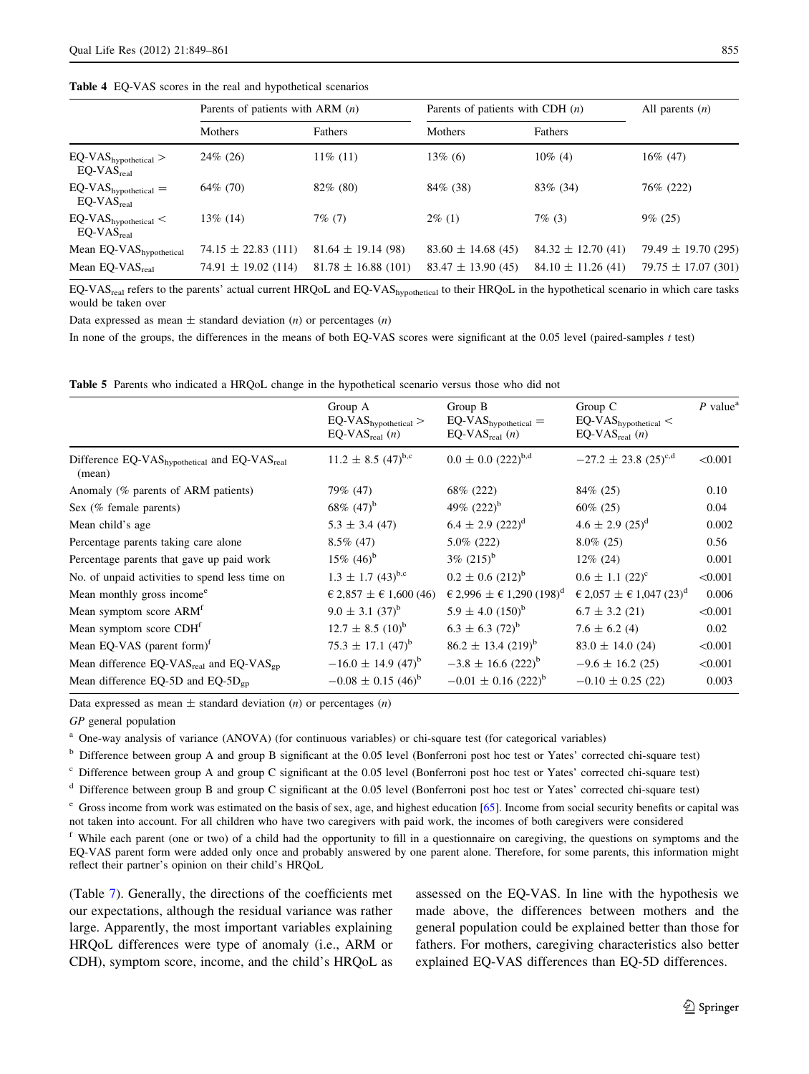## <span id="page-6-0"></span>Table 4 EQ-VAS scores in the real and hypothetical scenarios

|                                                             | Parents of patients with ARM $(n)$                 |                                                  |                                                 | Parents of patients with CDH $(n)$              |                                                   |  |
|-------------------------------------------------------------|----------------------------------------------------|--------------------------------------------------|-------------------------------------------------|-------------------------------------------------|---------------------------------------------------|--|
|                                                             | Mothers                                            | Fathers                                          | <b>Mothers</b>                                  | Fathers                                         |                                                   |  |
| $EQ-VAShypothetical$<br>$EQ-VASreal$                        | $24\%$ (26)                                        | $11\%$ (11)                                      | $13\%$ (6)                                      | $10\%$ (4)                                      | $16\%$ (47)                                       |  |
| $EQ-VAShypothetical =$<br>$EQ-VAS_{real}$                   | 64\% (70)                                          | $82\%$ (80)                                      | $84\%$ (38)                                     | $83\%$ (34)                                     | 76\% (222)                                        |  |
| $EQ-VAShypothetical <$<br>$EQ-VAS_{real}$                   | $13\%$ (14)                                        | $7\%$ (7)                                        | $2\%$ (1)                                       | $7\%$ (3)                                       | $9\%$ (25)                                        |  |
| Mean EQ-VAS <sub>hypothetical</sub><br>Mean $EO-VAS_{real}$ | $74.15 \pm 22.83$ (111)<br>$74.91 \pm 19.02$ (114) | $81.64 \pm 19.14(98)$<br>$81.78 \pm 16.88$ (101) | $83.60 \pm 14.68$ (45)<br>$83.47 \pm 13.90(45)$ | $84.32 \pm 12.70(41)$<br>$84.10 \pm 11.26$ (41) | $79.49 \pm 19.70$ (295)<br>$79.75 \pm 17.07(301)$ |  |

EQ-VAS<sub>real</sub> refers to the parents' actual current HRQoL and EQ-VAS<sub>hypothetical</sub> to their HRQoL in the hypothetical scenario in which care tasks would be taken over

Data expressed as mean  $\pm$  standard deviation (*n*) or percentages (*n*)

In none of the groups, the differences in the means of both EO-VAS scores were significant at the 0.05 level (paired-samples t test)

|  |  |  |  |  | Table 5 Parents who indicated a HRQoL change in the hypothetical scenario versus those who did not |  |  |  |
|--|--|--|--|--|----------------------------------------------------------------------------------------------------|--|--|--|
|--|--|--|--|--|----------------------------------------------------------------------------------------------------|--|--|--|

|                                                                                | Group A<br>$\text{EQ-VAS}_{\text{hypothetical}} >$<br>$EO-VASreal$ ( <i>n</i> ) | Group B<br>$EQ-VAShypothetical =$<br>$EO-VASreal$ ( <i>n</i> ) | Group $C$<br>$EQ-VAShypothetical <$<br>$EO-VAS_{real}(n)$ | $P$ value <sup>a</sup> |
|--------------------------------------------------------------------------------|---------------------------------------------------------------------------------|----------------------------------------------------------------|-----------------------------------------------------------|------------------------|
| Difference EQ-VAS <sub>hypothetical</sub> and EQ-VAS <sub>real</sub><br>(mean) | $11.2 \pm 8.5 \ (47)^{b,c}$                                                     | $0.0 \pm 0.0$ $(222)^{b,d}$                                    | $-27.2 \pm 23.8$ (25) <sup>c,d</sup>                      | < 0.001                |
| Anomaly (% parents of ARM patients)                                            | 79% (47)                                                                        | 68\% (222)                                                     | $84\%$ (25)                                               | 0.10                   |
| Sex (% female parents)                                                         | 68\% $(47)^{b}$                                                                 | 49% $(222)^b$                                                  | $60\% (25)$                                               | 0.04                   |
| Mean child's age                                                               | $5.3 \pm 3.4$ (47)                                                              | $6.4 \pm 2.9$ $(222)^d$                                        | $4.6 \pm 2.9$ $(25)^d$                                    | 0.002                  |
| Percentage parents taking care alone                                           | $8.5\%$ (47)                                                                    | 5.0% (222)                                                     | $8.0\%$ (25)                                              | 0.56                   |
| Percentage parents that gave up paid work                                      | $15\%$ (46) <sup>b</sup>                                                        | $3\%$ $(215)^{b}$                                              | $12\%$ (24)                                               | 0.001                  |
| No. of unpaid activities to spend less time on                                 | $1.3 \pm 1.7$ (43) <sup>b,c</sup>                                               | $0.2 \pm 0.6$ (212) <sup>b</sup>                               | $0.6 \pm 1.1$ (22) <sup>c</sup>                           | < 0.001                |
| Mean monthly gross income <sup>e</sup>                                         | $\in$ 2,857 $\pm \in$ 1,600 (46)                                                | $\in$ 2,996 $\pm \in$ 1,290 (198) <sup>d</sup>                 | $\in$ 2,057 $\pm \in$ 1,047 (23) <sup>d</sup>             | 0.006                  |
| Mean symptom score ARM <sup>f</sup>                                            | $9.0 \pm 3.1 (37)^b$                                                            | $5.9 \pm 4.0$ $(150)^{6}$                                      | $6.7 \pm 3.2$ (21)                                        | < 0.001                |
| Mean symptom score CDH <sup>t</sup>                                            | $12.7 \pm 8.5$ (10) <sup>b</sup>                                                | $6.3 \pm 6.3$ (72) <sup>b</sup>                                | $7.6 \pm 6.2$ (4)                                         | 0.02                   |
| Mean EQ-VAS (parent form) <sup>f</sup>                                         | $75.3 \pm 17.1 (47)^b$                                                          | $86.2 \pm 13.4~(219)^b$                                        | $83.0 \pm 14.0$ (24)                                      | < 0.001                |
| Mean difference $EQ\text{-}VAS_{\text{real}}$ and $EQ\text{-}VAS_{\text{gp}}$  | $-16.0 \pm 14.9$ (47) <sup>b</sup>                                              | $-3.8 \pm 16.6$ (222) <sup>b</sup>                             | $-9.6 \pm 16.2$ (25)                                      | < 0.001                |
| Mean difference EQ-5D and EQ-5D $_{\text{sn}}$                                 | $-0.08 \pm 0.15$ (46) <sup>b</sup>                                              | $-0.01 \pm 0.16$ (222) <sup>b</sup>                            | $-0.10 \pm 0.25$ (22)                                     | 0.003                  |

Data expressed as mean  $\pm$  standard deviation (*n*) or percentages (*n*)

GP general population

<sup>a</sup> One-way analysis of variance (ANOVA) (for continuous variables) or chi-square test (for categorical variables)

<sup>b</sup> Difference between group A and group B significant at the 0.05 level (Bonferroni post hoc test or Yates' corrected chi-square test)

<sup>c</sup> Difference between group A and group C significant at the 0.05 level (Bonferroni post hoc test or Yates' corrected chi-square test)

<sup>d</sup> Difference between group B and group C significant at the 0.05 level (Bonferroni post hoc test or Yates' corrected chi-square test)

<sup>e</sup> Gross income from work was estimated on the basis of sex, age, and highest education [\[65\]](#page-12-0). Income from social security benefits or capital was not taken into account. For all children who have two caregivers with paid work, the incomes of both caregivers were considered

<sup>f</sup> While each parent (one or two) of a child had the opportunity to fill in a questionnaire on caregiving, the questions on symptoms and the EQ-VAS parent form were added only once and probably answered by one parent alone. Therefore, for some parents, this information might reflect their partner's opinion on their child's HRQoL

(Table [7](#page-8-0)). Generally, the directions of the coefficients met our expectations, although the residual variance was rather large. Apparently, the most important variables explaining HRQoL differences were type of anomaly (i.e., ARM or CDH), symptom score, income, and the child's HRQoL as assessed on the EQ-VAS. In line with the hypothesis we made above, the differences between mothers and the general population could be explained better than those for fathers. For mothers, caregiving characteristics also better explained EQ-VAS differences than EQ-5D differences.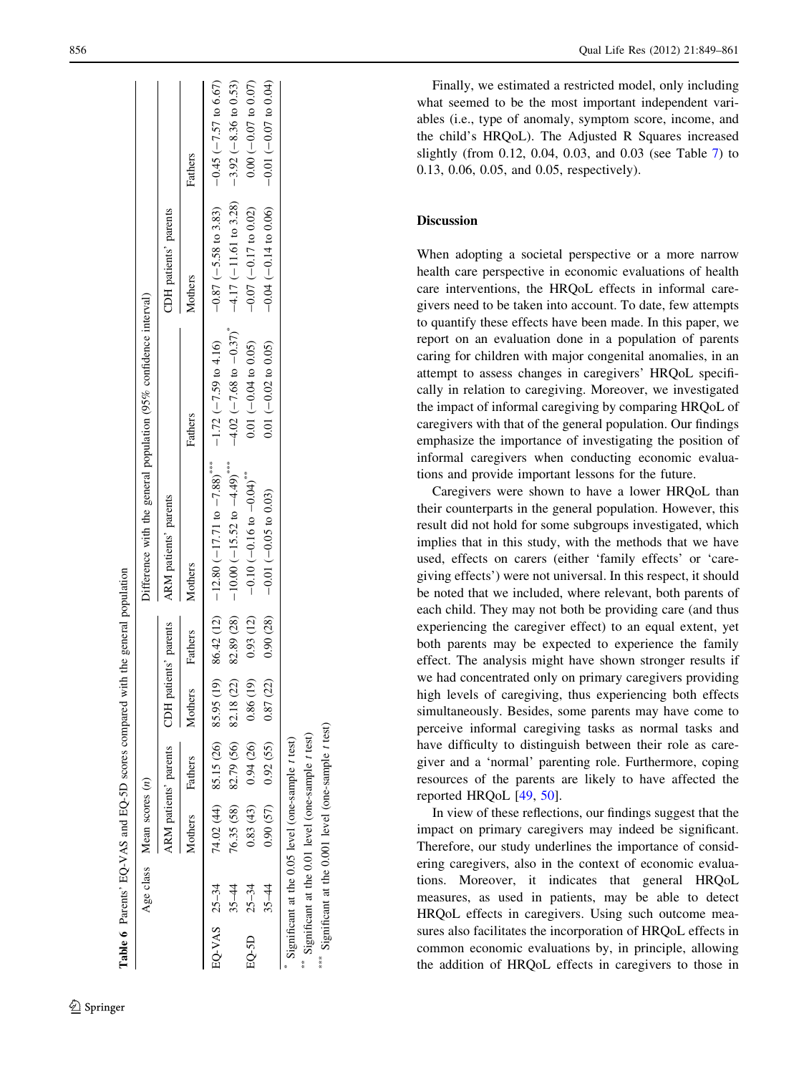<span id="page-7-0"></span>

|              |           | Age class Mean scores $(n)$                          |                                   |                                             |            | Difference with the general population $(95\%$ confidence interval) |                                             |                                                                   |                         |
|--------------|-----------|------------------------------------------------------|-----------------------------------|---------------------------------------------|------------|---------------------------------------------------------------------|---------------------------------------------|-------------------------------------------------------------------|-------------------------|
|              |           |                                                      |                                   | ARM patients' parents CDH patients' parents |            | ARM patients' parents                                               |                                             | CDH patients' parents                                             |                         |
|              |           | Mothers Fathers                                      |                                   | Mothers                                     | Fathers    | Mothers                                                             | Fathers                                     | Mothers                                                           | Fathers                 |
| EQ-VAS 25-34 |           |                                                      | $74.02(44)$ 85.15 (26) 85.95 (19) |                                             |            | $86.42(12)$ -12.80 (-17.71 to -7.88) <sup>***</sup>                 | $-1.72$ ( $-7.59$ to 4.16)                  | $-0.87 (-5.58 \text{ to } 3.83)$ $-0.45 (-7.57 \text{ to } 6.67)$ |                         |
|              | $35 - 44$ | 76.35 (58)                                           |                                   | $82.79(56)$ $82.18(22)$                     | 82.89 (28) | $-10.00 (-15.52 \text{ to } -4.49)^{***}$                           | $-4.02$ ( $-7.68$ to $-0.37$ ) <sup>*</sup> | $-4.17$ (-11.61 to 3.28) $-3.92$ (-8.36 to 0.53)                  |                         |
| EQ-5D        | $25 - 34$ | 0.83(43)                                             | 0.94(26)                          | 0.86(19)                                    | 0.93(12)   | $-0.10$ ( $-0.16$ to $-0.04$ ) <sup>**</sup>                        | $0.01 (-0.04 to 0.05)$                      | $-0.07$ ( $-0.17$ to 0.02)                                        | $0.00 (-0.07 to 0.07)$  |
|              | $35 - 44$ | (57)                                                 | 0.92(55)                          | 0.87(22)                                    | 0.90(28)   | $-0.01(-0.05 \text{ to } 0.03)$                                     | $0.01 (-0.02 to 0.05)$                      | $-0.04 (-0.14 to 0.06)$                                           | $-0.01$ (-0.07 to 0.04) |
|              |           | Significant at the 0.05 level (one-sample t test)    |                                   |                                             |            |                                                                     |                                             |                                                                   |                         |
|              |           | ** Significant at the 0.01 level (one-sample t test) |                                   |                                             |            |                                                                     |                                             |                                                                   |                         |

\*\*\* Significant at the 0.001 level (one-sample t test)

\*\*\*

Significant at the 0.001 level (one-sample t test)

Finally, we estimated a restricted model, only including what seemed to be the most important independent variables (i.e., type of anomaly, symptom score, income, and the child's HRQoL). The Adjusted R Squares increased slightly (from 0.12, 0.04, 0.03, and 0.03 (see Table [7](#page-8-0)) to 0.13, 0.06, 0.05, and 0.05, respectively).

## Discussion

When adopting a societal perspective or a more narrow health care perspective in economic evaluations of health care interventions, the HRQoL effects in informal caregivers need to be taken into account. To date, few attempts to quantify these effects have been made. In this paper, we report on an evaluation done in a population of parents caring for children with major congenital anomalies, in an attempt to assess changes in caregivers' HRQoL specifically in relation to caregiving. Moreover, we investigated the impact of informal caregiving by comparing HRQoL of caregivers with that of the general population. Our findings emphasize the importance of investigating the position of informal caregivers when conducting economic evaluations and provide important lessons for the future.

Caregivers were shown to have a lower HRQoL than their counterparts in the general population. However, this result did not hold for some subgroups investigated, which implies that in this study, with the methods that we have used, effects on carers (either 'family effects' or 'caregiving effects') were not universal. In this respect, it should be noted that we included, where relevant, both parents of each child. They may not both be providing care (and thus experiencing the caregiver effect) to an equal extent, yet both parents may be expected to experience the family effect. The analysis might have shown stronger results if we had concentrated only on primary caregivers providing high levels of caregiving, thus experiencing both effects simultaneously. Besides, some parents may have come to perceive informal caregiving tasks as normal tasks and have difficulty to distinguish between their role as caregiver and a 'normal' parenting role. Furthermore, coping resources of the parents are likely to have affected the reported HRQoL [\[49](#page-11-0), [50](#page-11-0)].

In view of these reflections, our findings suggest that the impact on primary caregivers may indeed be significant. Therefore, our study underlines the importance of considering caregivers, also in the context of economic evaluations. Moreover, it indicates that general HRQoL measures, as used in patients, may be able to detect HRQoL effects in caregivers. Using such outcome measures also facilitates the incorporation of HRQoL effects in common economic evaluations by, in principle, allowing the addition of HRQoL effects in caregivers to those in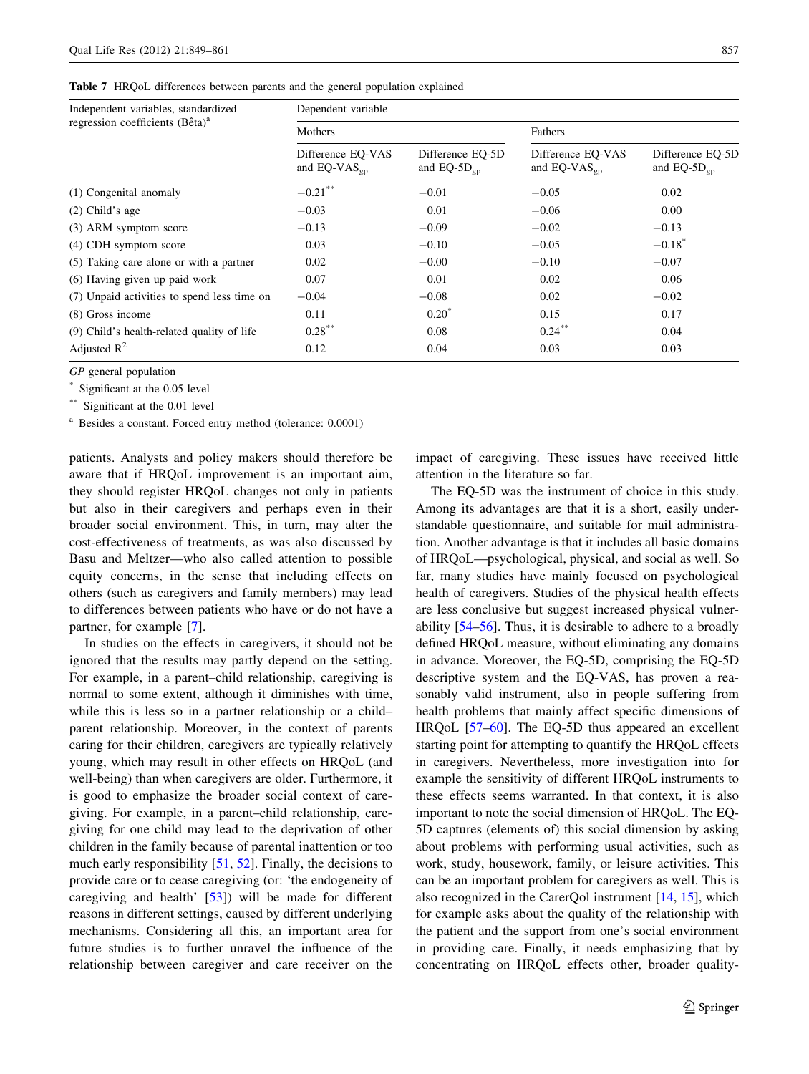| Independent variables, standardized         | Dependent variable                            |                                           |                                               |                                           |  |  |
|---------------------------------------------|-----------------------------------------------|-------------------------------------------|-----------------------------------------------|-------------------------------------------|--|--|
| regression coefficients (Bêta) <sup>a</sup> | Mothers                                       |                                           | Fathers                                       |                                           |  |  |
|                                             | Difference EO-VAS<br>and EQ-VAS <sub>on</sub> | Difference EO-5D<br>and EQ-5 $D_{\rm gp}$ | Difference EO-VAS<br>and EQ-VAS <sub>on</sub> | Difference EO-5D<br>and EQ-5 $D_{\rm gp}$ |  |  |
| (1) Congenital anomaly                      | $-0.21$ **                                    | $-0.01$                                   | $-0.05$                                       | 0.02                                      |  |  |
| $(2)$ Child's age                           | $-0.03$                                       | 0.01                                      | $-0.06$                                       | 0.00                                      |  |  |
| (3) ARM symptom score                       | $-0.13$                                       | $-0.09$                                   | $-0.02$                                       | $-0.13$                                   |  |  |
| (4) CDH symptom score                       | 0.03                                          | $-0.10$                                   | $-0.05$                                       | $-0.18$ <sup>*</sup>                      |  |  |
| (5) Taking care alone or with a partner     | 0.02                                          | $-0.00$                                   | $-0.10$                                       | $-0.07$                                   |  |  |
| (6) Having given up paid work               | 0.07                                          | 0.01                                      | 0.02                                          | 0.06                                      |  |  |
| (7) Unpaid activities to spend less time on | $-0.04$                                       | $-0.08$                                   | 0.02                                          | $-0.02$                                   |  |  |
| (8) Gross income                            | 0.11                                          | $0.20^{*}$                                | 0.15                                          | 0.17                                      |  |  |
| (9) Child's health-related quality of life  | $0.28***$                                     | 0.08                                      | $0.24***$                                     | 0.04                                      |  |  |
| Adjusted $R^2$                              | 0.12                                          | 0.04                                      | 0.03                                          | 0.03                                      |  |  |

GP general population

Significant at the 0.05 level

\*\* Significant at the 0.01 level

<sup>a</sup> Besides a constant. Forced entry method (tolerance: 0.0001)

<span id="page-8-0"></span>Table 7 HRQoL differences between parents and the general population explained

patients. Analysts and policy makers should therefore be aware that if HRQoL improvement is an important aim, they should register HRQoL changes not only in patients but also in their caregivers and perhaps even in their broader social environment. This, in turn, may alter the cost-effectiveness of treatments, as was also discussed by Basu and Meltzer—who also called attention to possible equity concerns, in the sense that including effects on others (such as caregivers and family members) may lead to differences between patients who have or do not have a partner, for example [[7\]](#page-10-0).

In studies on the effects in caregivers, it should not be ignored that the results may partly depend on the setting. For example, in a parent–child relationship, caregiving is normal to some extent, although it diminishes with time, while this is less so in a partner relationship or a child– parent relationship. Moreover, in the context of parents caring for their children, caregivers are typically relatively young, which may result in other effects on HRQoL (and well-being) than when caregivers are older. Furthermore, it is good to emphasize the broader social context of caregiving. For example, in a parent–child relationship, caregiving for one child may lead to the deprivation of other children in the family because of parental inattention or too much early responsibility [\[51](#page-11-0), [52](#page-11-0)]. Finally, the decisions to provide care or to cease caregiving (or: 'the endogeneity of caregiving and health' [\[53](#page-11-0)]) will be made for different reasons in different settings, caused by different underlying mechanisms. Considering all this, an important area for future studies is to further unravel the influence of the relationship between caregiver and care receiver on the impact of caregiving. These issues have received little attention in the literature so far.

The EQ-5D was the instrument of choice in this study. Among its advantages are that it is a short, easily understandable questionnaire, and suitable for mail administration. Another advantage is that it includes all basic domains of HRQoL—psychological, physical, and social as well. So far, many studies have mainly focused on psychological health of caregivers. Studies of the physical health effects are less conclusive but suggest increased physical vulnerability [\[54–56](#page-11-0)]. Thus, it is desirable to adhere to a broadly defined HRQoL measure, without eliminating any domains in advance. Moreover, the EQ-5D, comprising the EQ-5D descriptive system and the EQ-VAS, has proven a reasonably valid instrument, also in people suffering from health problems that mainly affect specific dimensions of HRQoL [[57–](#page-11-0)[60\]](#page-12-0). The EQ-5D thus appeared an excellent starting point for attempting to quantify the HRQoL effects in caregivers. Nevertheless, more investigation into for example the sensitivity of different HRQoL instruments to these effects seems warranted. In that context, it is also important to note the social dimension of HRQoL. The EQ-5D captures (elements of) this social dimension by asking about problems with performing usual activities, such as work, study, housework, family, or leisure activities. This can be an important problem for caregivers as well. This is also recognized in the CarerQol instrument [\[14](#page-10-0), [15](#page-10-0)], which for example asks about the quality of the relationship with the patient and the support from one's social environment in providing care. Finally, it needs emphasizing that by concentrating on HRQoL effects other, broader quality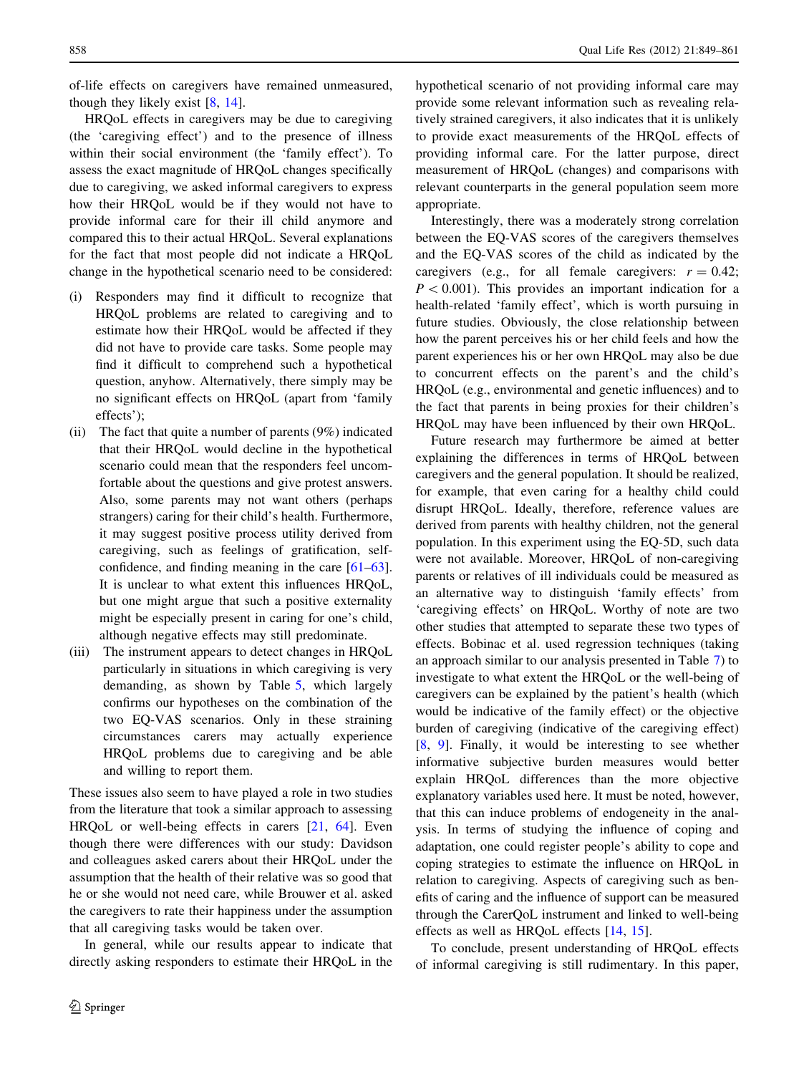of-life effects on caregivers have remained unmeasured, though they likely exist [\[8](#page-10-0), [14](#page-10-0)].

HRQoL effects in caregivers may be due to caregiving (the 'caregiving effect') and to the presence of illness within their social environment (the 'family effect'). To assess the exact magnitude of HRQoL changes specifically due to caregiving, we asked informal caregivers to express how their HRQoL would be if they would not have to provide informal care for their ill child anymore and compared this to their actual HRQoL. Several explanations for the fact that most people did not indicate a HRQoL change in the hypothetical scenario need to be considered:

- (i) Responders may find it difficult to recognize that HRQoL problems are related to caregiving and to estimate how their HRQoL would be affected if they did not have to provide care tasks. Some people may find it difficult to comprehend such a hypothetical question, anyhow. Alternatively, there simply may be no significant effects on HRQoL (apart from 'family effects');
- (ii) The fact that quite a number of parents (9%) indicated that their HRQoL would decline in the hypothetical scenario could mean that the responders feel uncomfortable about the questions and give protest answers. Also, some parents may not want others (perhaps strangers) caring for their child's health. Furthermore, it may suggest positive process utility derived from caregiving, such as feelings of gratification, selfconfidence, and finding meaning in the care [\[61–63](#page-12-0)]. It is unclear to what extent this influences HRQoL, but one might argue that such a positive externality might be especially present in caring for one's child, although negative effects may still predominate.
- (iii) The instrument appears to detect changes in HRQoL particularly in situations in which caregiving is very demanding, as shown by Table [5](#page-6-0), which largely confirms our hypotheses on the combination of the two EQ-VAS scenarios. Only in these straining circumstances carers may actually experience HRQoL problems due to caregiving and be able and willing to report them.

These issues also seem to have played a role in two studies from the literature that took a similar approach to assessing HRQoL or well-being effects in carers [\[21](#page-10-0), [64](#page-12-0)]. Even though there were differences with our study: Davidson and colleagues asked carers about their HRQoL under the assumption that the health of their relative was so good that he or she would not need care, while Brouwer et al. asked the caregivers to rate their happiness under the assumption that all caregiving tasks would be taken over.

In general, while our results appear to indicate that directly asking responders to estimate their HRQoL in the hypothetical scenario of not providing informal care may provide some relevant information such as revealing relatively strained caregivers, it also indicates that it is unlikely to provide exact measurements of the HRQoL effects of providing informal care. For the latter purpose, direct measurement of HRQoL (changes) and comparisons with relevant counterparts in the general population seem more appropriate.

Interestingly, there was a moderately strong correlation between the EQ-VAS scores of the caregivers themselves and the EQ-VAS scores of the child as indicated by the caregivers (e.g., for all female caregivers:  $r = 0.42$ ;  $P<0.001$ ). This provides an important indication for a health-related 'family effect', which is worth pursuing in future studies. Obviously, the close relationship between how the parent perceives his or her child feels and how the parent experiences his or her own HRQoL may also be due to concurrent effects on the parent's and the child's HRQoL (e.g., environmental and genetic influences) and to the fact that parents in being proxies for their children's HRQoL may have been influenced by their own HRQoL.

Future research may furthermore be aimed at better explaining the differences in terms of HRQoL between caregivers and the general population. It should be realized, for example, that even caring for a healthy child could disrupt HRQoL. Ideally, therefore, reference values are derived from parents with healthy children, not the general population. In this experiment using the EQ-5D, such data were not available. Moreover, HRQoL of non-caregiving parents or relatives of ill individuals could be measured as an alternative way to distinguish 'family effects' from 'caregiving effects' on HRQoL. Worthy of note are two other studies that attempted to separate these two types of effects. Bobinac et al. used regression techniques (taking an approach similar to our analysis presented in Table [7\)](#page-8-0) to investigate to what extent the HRQoL or the well-being of caregivers can be explained by the patient's health (which would be indicative of the family effect) or the objective burden of caregiving (indicative of the caregiving effect) [\[8](#page-10-0), [9\]](#page-10-0). Finally, it would be interesting to see whether informative subjective burden measures would better explain HRQoL differences than the more objective explanatory variables used here. It must be noted, however, that this can induce problems of endogeneity in the analysis. In terms of studying the influence of coping and adaptation, one could register people's ability to cope and coping strategies to estimate the influence on HRQoL in relation to caregiving. Aspects of caregiving such as benefits of caring and the influence of support can be measured through the CarerQoL instrument and linked to well-being effects as well as HRQoL effects [[14,](#page-10-0) [15\]](#page-10-0).

To conclude, present understanding of HRQoL effects of informal caregiving is still rudimentary. In this paper,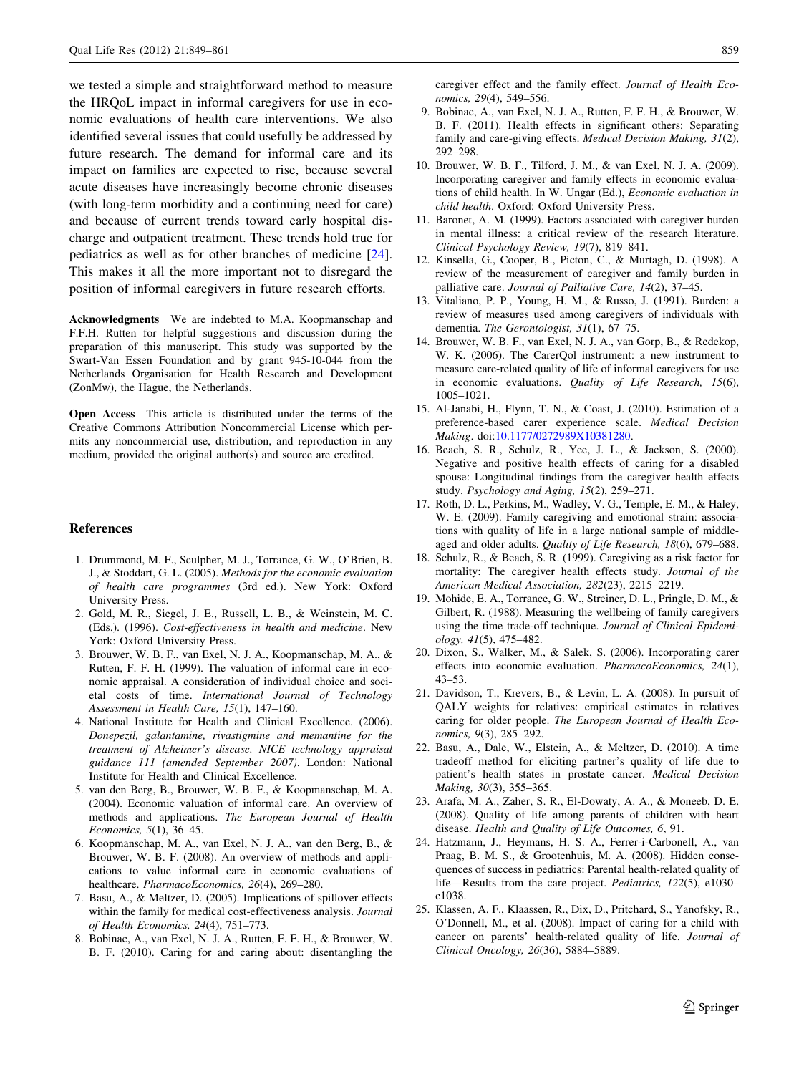<span id="page-10-0"></span>we tested a simple and straightforward method to measure the HRQoL impact in informal caregivers for use in economic evaluations of health care interventions. We also identified several issues that could usefully be addressed by future research. The demand for informal care and its impact on families are expected to rise, because several acute diseases have increasingly become chronic diseases (with long-term morbidity and a continuing need for care) and because of current trends toward early hospital discharge and outpatient treatment. These trends hold true for pediatrics as well as for other branches of medicine [24]. This makes it all the more important not to disregard the position of informal caregivers in future research efforts.

Acknowledgments We are indebted to M.A. Koopmanschap and F.F.H. Rutten for helpful suggestions and discussion during the preparation of this manuscript. This study was supported by the Swart-Van Essen Foundation and by grant 945-10-044 from the Netherlands Organisation for Health Research and Development (ZonMw), the Hague, the Netherlands.

Open Access This article is distributed under the terms of the Creative Commons Attribution Noncommercial License which permits any noncommercial use, distribution, and reproduction in any medium, provided the original author(s) and source are credited.

#### References

- 1. Drummond, M. F., Sculpher, M. J., Torrance, G. W., O'Brien, B. J., & Stoddart, G. L. (2005). Methods for the economic evaluation of health care programmes (3rd ed.). New York: Oxford University Press.
- 2. Gold, M. R., Siegel, J. E., Russell, L. B., & Weinstein, M. C. (Eds.). (1996). Cost-effectiveness in health and medicine. New York: Oxford University Press.
- 3. Brouwer, W. B. F., van Exel, N. J. A., Koopmanschap, M. A., & Rutten, F. F. H. (1999). The valuation of informal care in economic appraisal. A consideration of individual choice and societal costs of time. International Journal of Technology Assessment in Health Care, 15(1), 147–160.
- 4. National Institute for Health and Clinical Excellence. (2006). Donepezil, galantamine, rivastigmine and memantine for the treatment of Alzheimer's disease. NICE technology appraisal guidance 111 (amended September 2007). London: National Institute for Health and Clinical Excellence.
- 5. van den Berg, B., Brouwer, W. B. F., & Koopmanschap, M. A. (2004). Economic valuation of informal care. An overview of methods and applications. The European Journal of Health Economics, 5(1), 36–45.
- 6. Koopmanschap, M. A., van Exel, N. J. A., van den Berg, B., & Brouwer, W. B. F. (2008). An overview of methods and applications to value informal care in economic evaluations of healthcare. *PharmacoEconomics*, 26(4), 269-280.
- 7. Basu, A., & Meltzer, D. (2005). Implications of spillover effects within the family for medical cost-effectiveness analysis. Journal of Health Economics, 24(4), 751–773.
- 8. Bobinac, A., van Exel, N. J. A., Rutten, F. F. H., & Brouwer, W. B. F. (2010). Caring for and caring about: disentangling the

caregiver effect and the family effect. Journal of Health Economics, 29(4), 549–556.

- 9. Bobinac, A., van Exel, N. J. A., Rutten, F. F. H., & Brouwer, W. B. F. (2011). Health effects in significant others: Separating family and care-giving effects. Medical Decision Making, 31(2), 292–298.
- 10. Brouwer, W. B. F., Tilford, J. M., & van Exel, N. J. A. (2009). Incorporating caregiver and family effects in economic evaluations of child health. In W. Ungar (Ed.), Economic evaluation in child health. Oxford: Oxford University Press.
- 11. Baronet, A. M. (1999). Factors associated with caregiver burden in mental illness: a critical review of the research literature. Clinical Psychology Review, 19(7), 819–841.
- 12. Kinsella, G., Cooper, B., Picton, C., & Murtagh, D. (1998). A review of the measurement of caregiver and family burden in palliative care. Journal of Palliative Care, 14(2), 37-45.
- 13. Vitaliano, P. P., Young, H. M., & Russo, J. (1991). Burden: a review of measures used among caregivers of individuals with dementia. The Gerontologist, 31(1), 67–75.
- 14. Brouwer, W. B. F., van Exel, N. J. A., van Gorp, B., & Redekop, W. K. (2006). The CarerQol instrument: a new instrument to measure care-related quality of life of informal caregivers for use in economic evaluations. Quality of Life Research, 15(6), 1005–1021.
- 15. Al-Janabi, H., Flynn, T. N., & Coast, J. (2010). Estimation of a preference-based carer experience scale. Medical Decision Making. doi:[10.1177/0272989X10381280](http://dx.doi.org/10.1177/0272989X10381280).
- 16. Beach, S. R., Schulz, R., Yee, J. L., & Jackson, S. (2000). Negative and positive health effects of caring for a disabled spouse: Longitudinal findings from the caregiver health effects study. Psychology and Aging, 15(2), 259–271.
- 17. Roth, D. L., Perkins, M., Wadley, V. G., Temple, E. M., & Haley, W. E. (2009). Family caregiving and emotional strain: associations with quality of life in a large national sample of middleaged and older adults. Quality of Life Research, 18(6), 679–688.
- 18. Schulz, R., & Beach, S. R. (1999). Caregiving as a risk factor for mortality: The caregiver health effects study. Journal of the American Medical Association, 282(23), 2215–2219.
- 19. Mohide, E. A., Torrance, G. W., Streiner, D. L., Pringle, D. M., & Gilbert, R. (1988). Measuring the wellbeing of family caregivers using the time trade-off technique. Journal of Clinical Epidemiology, 41(5), 475–482.
- 20. Dixon, S., Walker, M., & Salek, S. (2006). Incorporating carer effects into economic evaluation. PharmacoEconomics, 24(1), 43–53.
- 21. Davidson, T., Krevers, B., & Levin, L. A. (2008). In pursuit of QALY weights for relatives: empirical estimates in relatives caring for older people. The European Journal of Health Economics, 9(3), 285–292.
- 22. Basu, A., Dale, W., Elstein, A., & Meltzer, D. (2010). A time tradeoff method for eliciting partner's quality of life due to patient's health states in prostate cancer. Medical Decision Making, 30(3), 355–365.
- 23. Arafa, M. A., Zaher, S. R., El-Dowaty, A. A., & Moneeb, D. E. (2008). Quality of life among parents of children with heart disease. Health and Quality of Life Outcomes, 6, 91.
- 24. Hatzmann, J., Heymans, H. S. A., Ferrer-i-Carbonell, A., van Praag, B. M. S., & Grootenhuis, M. A. (2008). Hidden consequences of success in pediatrics: Parental health-related quality of life—Results from the care project. Pediatrics, 122(5), e1030– e1038.
- 25. Klassen, A. F., Klaassen, R., Dix, D., Pritchard, S., Yanofsky, R., O'Donnell, M., et al. (2008). Impact of caring for a child with cancer on parents' health-related quality of life. Journal of Clinical Oncology, 26(36), 5884–5889.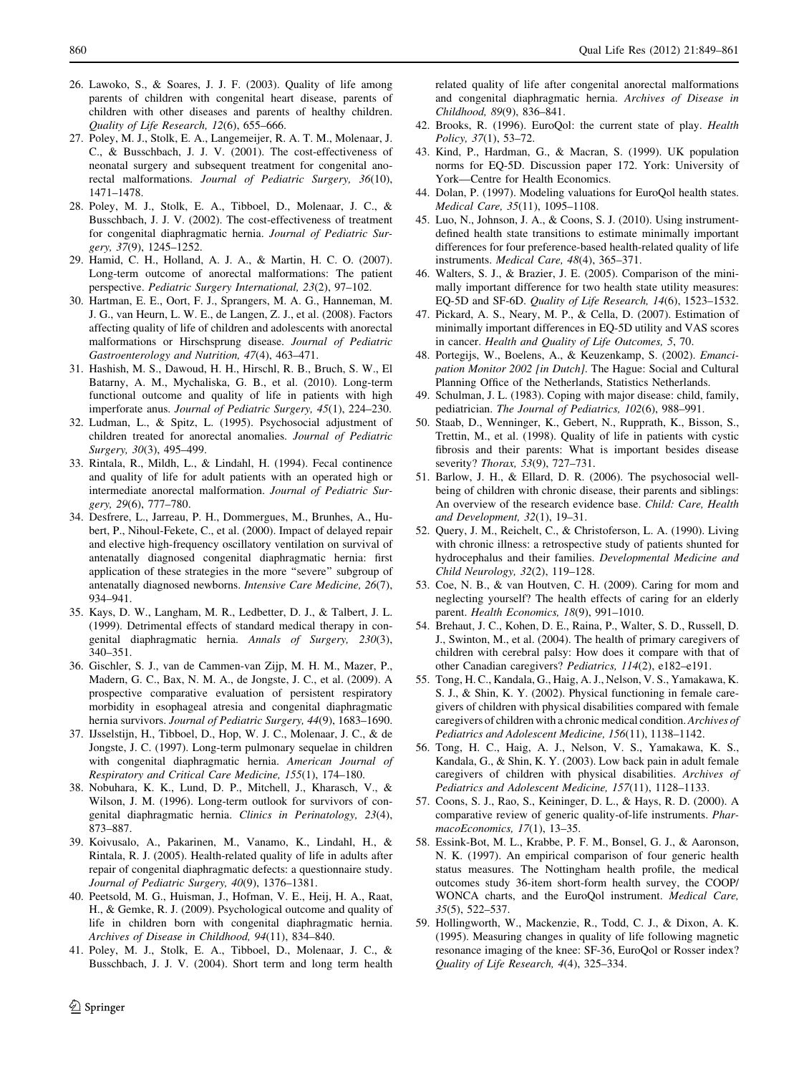- <span id="page-11-0"></span>26. Lawoko, S., & Soares, J. J. F. (2003). Quality of life among parents of children with congenital heart disease, parents of children with other diseases and parents of healthy children. Quality of Life Research, 12(6), 655–666.
- 27. Poley, M. J., Stolk, E. A., Langemeijer, R. A. T. M., Molenaar, J. C., & Busschbach, J. J. V. (2001). The cost-effectiveness of neonatal surgery and subsequent treatment for congenital anorectal malformations. Journal of Pediatric Surgery, 36(10), 1471–1478.
- 28. Poley, M. J., Stolk, E. A., Tibboel, D., Molenaar, J. C., & Busschbach, J. J. V. (2002). The cost-effectiveness of treatment for congenital diaphragmatic hernia. Journal of Pediatric Surgery, 37(9), 1245–1252.
- 29. Hamid, C. H., Holland, A. J. A., & Martin, H. C. O. (2007). Long-term outcome of anorectal malformations: The patient perspective. Pediatric Surgery International, 23(2), 97–102.
- 30. Hartman, E. E., Oort, F. J., Sprangers, M. A. G., Hanneman, M. J. G., van Heurn, L. W. E., de Langen, Z. J., et al. (2008). Factors affecting quality of life of children and adolescents with anorectal malformations or Hirschsprung disease. Journal of Pediatric Gastroenterology and Nutrition, 47(4), 463–471.
- 31. Hashish, M. S., Dawoud, H. H., Hirschl, R. B., Bruch, S. W., El Batarny, A. M., Mychaliska, G. B., et al. (2010). Long-term functional outcome and quality of life in patients with high imperforate anus. Journal of Pediatric Surgery, 45(1), 224–230.
- 32. Ludman, L., & Spitz, L. (1995). Psychosocial adjustment of children treated for anorectal anomalies. Journal of Pediatric Surgery, 30(3), 495–499.
- 33. Rintala, R., Mildh, L., & Lindahl, H. (1994). Fecal continence and quality of life for adult patients with an operated high or intermediate anorectal malformation. Journal of Pediatric Surgery, 29(6), 777–780.
- 34. Desfrere, L., Jarreau, P. H., Dommergues, M., Brunhes, A., Hubert, P., Nihoul-Fekete, C., et al. (2000). Impact of delayed repair and elective high-frequency oscillatory ventilation on survival of antenatally diagnosed congenital diaphragmatic hernia: first application of these strategies in the more ''severe'' subgroup of antenatally diagnosed newborns. Intensive Care Medicine, 26(7), 934–941.
- 35. Kays, D. W., Langham, M. R., Ledbetter, D. J., & Talbert, J. L. (1999). Detrimental effects of standard medical therapy in congenital diaphragmatic hernia. Annals of Surgery, 230(3), 340–351.
- 36. Gischler, S. J., van de Cammen-van Zijp, M. H. M., Mazer, P., Madern, G. C., Bax, N. M. A., de Jongste, J. C., et al. (2009). A prospective comparative evaluation of persistent respiratory morbidity in esophageal atresia and congenital diaphragmatic hernia survivors. Journal of Pediatric Surgery, 44(9), 1683–1690.
- 37. IJsselstijn, H., Tibboel, D., Hop, W. J. C., Molenaar, J. C., & de Jongste, J. C. (1997). Long-term pulmonary sequelae in children with congenital diaphragmatic hernia. American Journal of Respiratory and Critical Care Medicine, 155(1), 174–180.
- 38. Nobuhara, K. K., Lund, D. P., Mitchell, J., Kharasch, V., & Wilson, J. M. (1996). Long-term outlook for survivors of congenital diaphragmatic hernia. Clinics in Perinatology, 23(4), 873–887.
- 39. Koivusalo, A., Pakarinen, M., Vanamo, K., Lindahl, H., & Rintala, R. J. (2005). Health-related quality of life in adults after repair of congenital diaphragmatic defects: a questionnaire study. Journal of Pediatric Surgery, 40(9), 1376–1381.
- 40. Peetsold, M. G., Huisman, J., Hofman, V. E., Heij, H. A., Raat, H., & Gemke, R. J. (2009). Psychological outcome and quality of life in children born with congenital diaphragmatic hernia. Archives of Disease in Childhood, 94(11), 834–840.
- 41. Poley, M. J., Stolk, E. A., Tibboel, D., Molenaar, J. C., & Busschbach, J. J. V. (2004). Short term and long term health

related quality of life after congenital anorectal malformations and congenital diaphragmatic hernia. Archives of Disease in Childhood, 89(9), 836–841.

- 42. Brooks, R. (1996). EuroQol: the current state of play. Health Policy, 37(1), 53–72.
- 43. Kind, P., Hardman, G., & Macran, S. (1999). UK population norms for EQ-5D. Discussion paper 172. York: University of York—Centre for Health Economics.
- 44. Dolan, P. (1997). Modeling valuations for EuroQol health states. Medical Care, 35(11), 1095–1108.
- 45. Luo, N., Johnson, J. A., & Coons, S. J. (2010). Using instrumentdefined health state transitions to estimate minimally important differences for four preference-based health-related quality of life instruments. Medical Care, 48(4), 365–371.
- 46. Walters, S. J., & Brazier, J. E. (2005). Comparison of the minimally important difference for two health state utility measures: EQ-5D and SF-6D. Quality of Life Research, 14(6), 1523–1532.
- 47. Pickard, A. S., Neary, M. P., & Cella, D. (2007). Estimation of minimally important differences in EQ-5D utility and VAS scores in cancer. Health and Quality of Life Outcomes, 5, 70.
- 48. Portegijs, W., Boelens, A., & Keuzenkamp, S. (2002). Emancipation Monitor 2002 [in Dutch]. The Hague: Social and Cultural Planning Office of the Netherlands, Statistics Netherlands.
- 49. Schulman, J. L. (1983). Coping with major disease: child, family, pediatrician. The Journal of Pediatrics, 102(6), 988–991.
- 50. Staab, D., Wenninger, K., Gebert, N., Rupprath, K., Bisson, S., Trettin, M., et al. (1998). Quality of life in patients with cystic fibrosis and their parents: What is important besides disease severity? Thorax, 53(9), 727–731.
- 51. Barlow, J. H., & Ellard, D. R. (2006). The psychosocial wellbeing of children with chronic disease, their parents and siblings: An overview of the research evidence base. Child: Care, Health and Development, 32(1), 19–31.
- 52. Query, J. M., Reichelt, C., & Christoferson, L. A. (1990). Living with chronic illness: a retrospective study of patients shunted for hydrocephalus and their families. Developmental Medicine and Child Neurology, 32(2), 119–128.
- 53. Coe, N. B., & van Houtven, C. H. (2009). Caring for mom and neglecting yourself? The health effects of caring for an elderly parent. Health Economics, 18(9), 991–1010.
- 54. Brehaut, J. C., Kohen, D. E., Raina, P., Walter, S. D., Russell, D. J., Swinton, M., et al. (2004). The health of primary caregivers of children with cerebral palsy: How does it compare with that of other Canadian caregivers? Pediatrics, 114(2), e182–e191.
- 55. Tong, H. C., Kandala, G., Haig, A. J., Nelson, V. S., Yamakawa, K. S. J., & Shin, K. Y. (2002). Physical functioning in female caregivers of children with physical disabilities compared with female caregivers of children with a chronic medical condition. Archives of Pediatrics and Adolescent Medicine, 156(11), 1138–1142.
- 56. Tong, H. C., Haig, A. J., Nelson, V. S., Yamakawa, K. S., Kandala, G., & Shin, K. Y. (2003). Low back pain in adult female caregivers of children with physical disabilities. Archives of Pediatrics and Adolescent Medicine, 157(11), 1128–1133.
- 57. Coons, S. J., Rao, S., Keininger, D. L., & Hays, R. D. (2000). A comparative review of generic quality-of-life instruments. PharmacoEconomics, 17(1), 13–35.
- 58. Essink-Bot, M. L., Krabbe, P. F. M., Bonsel, G. J., & Aaronson, N. K. (1997). An empirical comparison of four generic health status measures. The Nottingham health profile, the medical outcomes study 36-item short-form health survey, the COOP/ WONCA charts, and the EuroQol instrument. Medical Care, 35(5), 522–537.
- 59. Hollingworth, W., Mackenzie, R., Todd, C. J., & Dixon, A. K. (1995). Measuring changes in quality of life following magnetic resonance imaging of the knee: SF-36, EuroQol or Rosser index? Quality of Life Research, 4(4), 325–334.